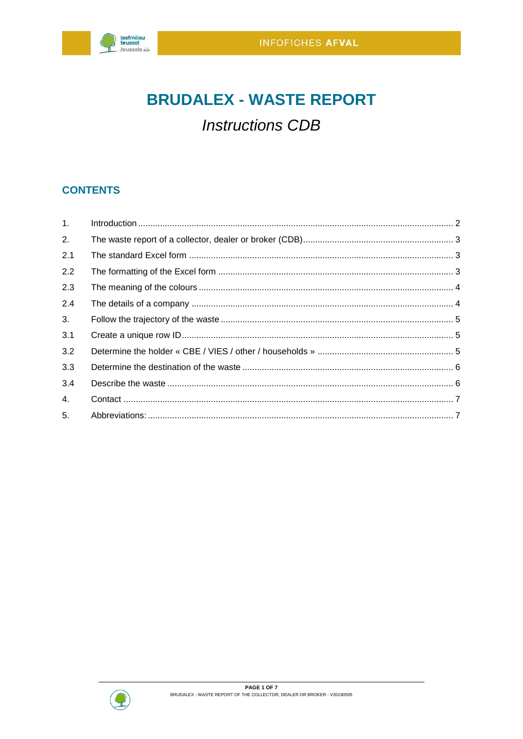

# **BRUDALEX - WASTE REPORT**

## **Instructions CDB**

## **CONTENTS**

| 1.  |  |
|-----|--|
| 2.  |  |
| 2.1 |  |
| 2.2 |  |
| 2.3 |  |
| 2.4 |  |
| 3.  |  |
| 3.1 |  |
| 3.2 |  |
| 3.3 |  |
| 3.4 |  |
| 4.  |  |
| 5.  |  |

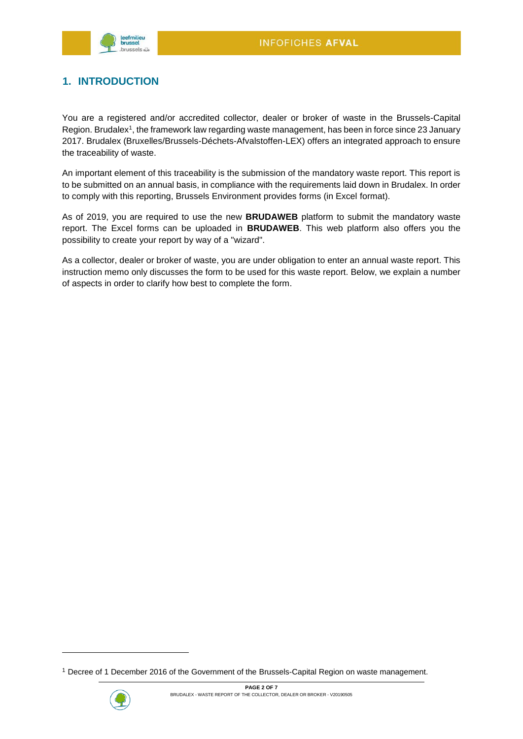

## <span id="page-1-0"></span>**1. INTRODUCTION**

You are a registered and/or accredited collector, dealer or broker of waste in the Brussels-Capital Region. Brudalex<sup>1</sup>, the framework law regarding waste management, has been in force since 23 January 2017. Brudalex (Bruxelles/Brussels-Déchets-Afvalstoffen-LEX) offers an integrated approach to ensure the traceability of waste.

An important element of this traceability is the submission of the mandatory waste report. This report is to be submitted on an annual basis, in compliance with the requirements laid down in Brudalex. In order to comply with this reporting, Brussels Environment provides forms (in Excel format).

As of 2019, you are required to use the new **BRUDAWEB** platform to submit the mandatory waste report. The Excel forms can be uploaded in **BRUDAWEB**. This web platform also offers you the possibility to create your report by way of a "wizard".

As a collector, dealer or broker of waste, you are under obligation to enter an annual waste report. This instruction memo only discusses the form to be used for this waste report. Below, we explain a number of aspects in order to clarify how best to complete the form.

<sup>1</sup> Decree of 1 December 2016 of the Government of the Brussels-Capital Region on waste management.



1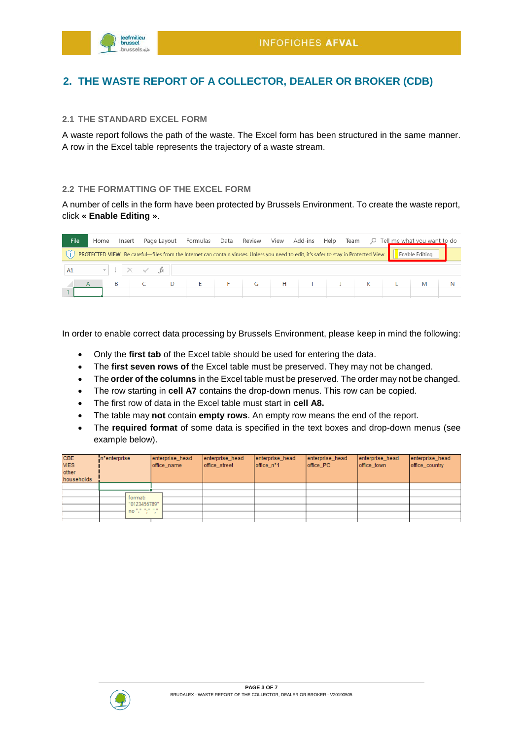

## <span id="page-2-0"></span>**2. THE WASTE REPORT OF A COLLECTOR, DEALER OR BROKER (CDB)**

#### <span id="page-2-1"></span>**2.1 THE STANDARD EXCEL FORM**

A waste report follows the path of the waste. The Excel form has been structured in the same manner. A row in the Excel table represents the trajectory of a waste stream.

#### <span id="page-2-2"></span>**2.2 THE FORMATTING OF THE EXCEL FORM**

A number of cells in the form have been protected by Brussels Environment. To create the waste report, click **« Enable Editing »**.

| File | Home | Insert                          |         |   | Page Layout Formulas Data Review View Add-ins Help Team $\varphi$ Tell me what you want to do                                         |   |   |  |   |                       |  |
|------|------|---------------------------------|---------|---|---------------------------------------------------------------------------------------------------------------------------------------|---|---|--|---|-----------------------|--|
|      |      |                                 |         |   | PROTECTED VIEW Be careful—files from the Internet can contain viruses. Unless you need to edit, it's safer to stay in Protected View. |   |   |  |   | <b>Enable Editing</b> |  |
| A1   |      | $\cdot$ : $\times$ $\checkmark$ | $f_{x}$ |   |                                                                                                                                       |   |   |  |   |                       |  |
|      |      | B                               |         | D |                                                                                                                                       | G | H |  | K | M                     |  |

In order to enable correct data processing by Brussels Environment, please keep in mind the following:

- Only the **first tab** of the Excel table should be used for entering the data.
- The **first seven rows of** the Excel table must be preserved. They may not be changed.
- The **order of the columns** in the Excel table must be preserved. The order may not be changed.
- The row starting in **cell A7** contains the drop-down menus. This row can be copied.
- The first row of data in the Excel table must start in **cell A8.**
- The table may **not** contain **empty rows**. An empty row means the end of the report.
- The **required format** of some data is specified in the text boxes and drop-down menus (see example below).

| <b>CBE</b><br><b>VIES</b><br>other<br>households | n <sup>e</sup> nterprise | enterprise head<br>office name | enterprise head<br>office street | enterprise head<br>office n°1 | enterprise head<br>office PC | enterprise head<br>office_town | enterprise head<br>office_country |
|--------------------------------------------------|--------------------------|--------------------------------|----------------------------------|-------------------------------|------------------------------|--------------------------------|-----------------------------------|
|                                                  |                          |                                |                                  |                               |                              |                                |                                   |
|                                                  |                          |                                |                                  |                               |                              |                                |                                   |
|                                                  | format:<br>"0123456789"  |                                |                                  |                               |                              |                                |                                   |
|                                                  | no "." ";" "."           |                                |                                  |                               |                              |                                |                                   |
|                                                  |                          |                                |                                  |                               |                              |                                |                                   |
|                                                  |                          |                                |                                  |                               |                              |                                |                                   |

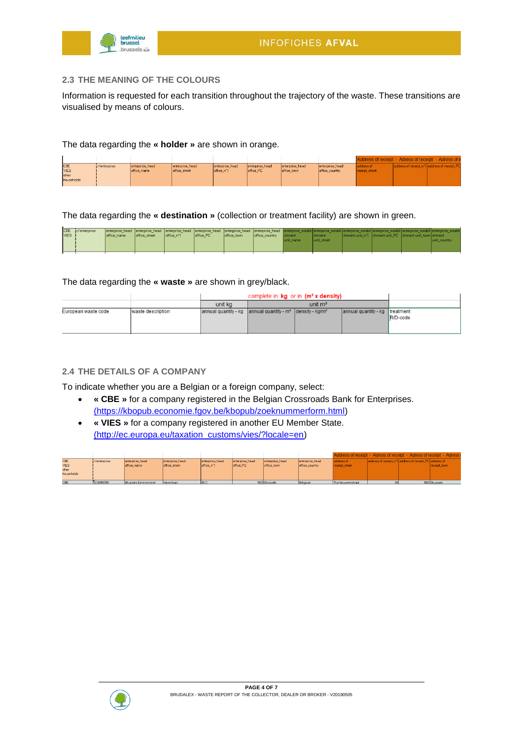

#### <span id="page-3-0"></span>**2.3 THE MEANING OF THE COLOURS**

Information is requested for each transition throughout the trajectory of the waste. These transitions are visualised by means of colours.

#### The data regarding the **« holder »** are shown in orange.

|                                             |               |                                |                                  |                               |                              |                                |                                   | Address of receipt - Adress of receipt - Adress of re |                                              |
|---------------------------------------------|---------------|--------------------------------|----------------------------------|-------------------------------|------------------------------|--------------------------------|-----------------------------------|-------------------------------------------------------|----------------------------------------------|
| ICBE<br><b>VIES</b><br>lother<br>households | in enterprise | enterprise_head<br>office name | enterprise_head<br>office street | enterprise head<br>office n'1 | enterprise_head<br>office PC | enterprise head<br>office town | enterprise head<br>office country | address of<br>receipt street                          | address of receipt_n'1 address of receipt_PC |
|                                             |               |                                |                                  |                               |                              |                                |                                   |                                                       |                                              |

The data regarding the **« destination »** (collection or treatment facility) are shown in green.

|             | CBE in <sup>t</sup> enterprise |             |               |             |           |             |                |               | enterprise head enterprise head enterprise head enterprise head enterprise head enterprise head enterprise establi enterprise establi enterprise establi enterprise establi enterprise establi enterprise establi enterprise e |  |                                                          |              |
|-------------|--------------------------------|-------------|---------------|-------------|-----------|-------------|----------------|---------------|--------------------------------------------------------------------------------------------------------------------------------------------------------------------------------------------------------------------------------|--|----------------------------------------------------------|--------------|
| <b>VIES</b> |                                | office name | office street | loffice n'1 | office PC | office town | office country | <b>Shment</b> | <b>Shment</b>                                                                                                                                                                                                                  |  | shment unit n'1 Ishment unit PC Ishment unit town shment |              |
|             |                                |             |               |             |           |             |                | lunit name    | lunit street                                                                                                                                                                                                                   |  |                                                          | unit country |
|             |                                |             |               |             |           |             |                |               |                                                                                                                                                                                                                                |  |                                                          |              |
|             |                                |             |               |             |           |             |                |               |                                                                                                                                                                                                                                |  |                                                          |              |
|             |                                |             |               |             |           |             |                |               |                                                                                                                                                                                                                                |  |                                                          |              |

#### The data regarding the **« waste »** are shown in grey/black.

|                     |                   |                                                                                   | complete in $kg$ or in $(m^3 x$ density) |                                |                  |
|---------------------|-------------------|-----------------------------------------------------------------------------------|------------------------------------------|--------------------------------|------------------|
|                     |                   | unit ka                                                                           | unit $m^3$                               |                                |                  |
| European waste code | waste description | annual quantity - kg annual quantity - m <sup>3</sup> density - kg/m <sup>3</sup> |                                          | annual quantity - kg treatment | <b>IR/D-code</b> |

#### <span id="page-3-1"></span>**2.4 THE DETAILS OF A COMPANY**

To indicate whether you are a Belgian or a foreign company, select:

- **« CBE »** for a company registered in the Belgian Crossroads Bank for Enterprises. [\(https://kbopub.economie.fgov.be/kbopub/zoeknummerform.html\)](https://kbopub.economie.fgov.be/kbopub/zoeknummerform.html)
- **« VIES »** for a company registered in another EU Member State. [\(http://ec.europa.eu/taxation\\_customs/vies/?locale=en\)](http://ec.europa.eu/taxation_customs/vies/?locale=en)

|             |               |                      |                 |                 |                 |                 |                 | Address of receipt - Adress of receipt - Adress of receipt - Adress |                                                         |               |
|-------------|---------------|----------------------|-----------------|-----------------|-----------------|-----------------|-----------------|---------------------------------------------------------------------|---------------------------------------------------------|---------------|
| CBE         | in'enterprise | enterprise head      | enterprise head | enterprise_head | enterprise head | enterprise head | enterprise head | address of                                                          | address of receipt_n*1 address of receipt_PC address of |               |
| <b>VIES</b> |               | office name          | office street   | office n'1      | office PC       | office town     | office country  | receipt street                                                      |                                                         | receipt town  |
| other       |               |                      |                 |                 |                 |                 |                 |                                                                     |                                                         |               |
| households  |               |                      |                 |                 |                 |                 |                 |                                                                     |                                                         |               |
|             |               |                      |                 |                 |                 |                 |                 |                                                                     |                                                         |               |
| CBE         | 0236916956    | Brussels Environmnet | Havenlaan       | 186 C           |                 | 1000 Brussels   | Belaium         | Tuinbouwersstraat                                                   |                                                         | 1020 Brussels |

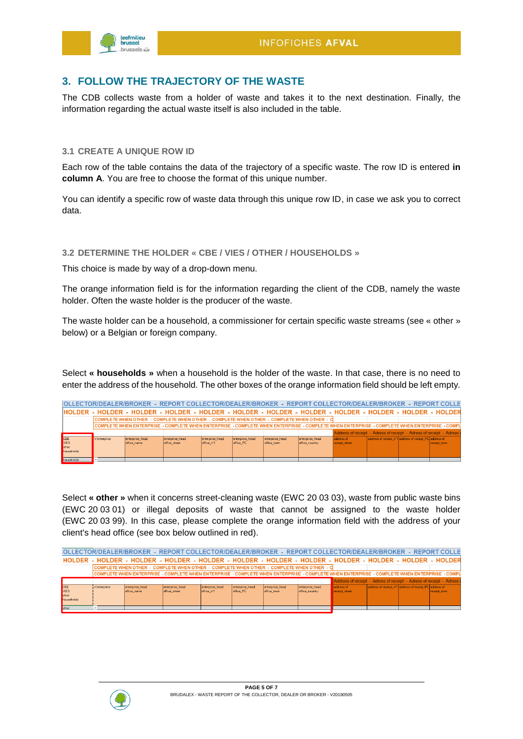

### <span id="page-4-0"></span>**3. FOLLOW THE TRAJECTORY OF THE WASTE**

The CDB collects waste from a holder of waste and takes it to the next destination. Finally, the information regarding the actual waste itself is also included in the table.

#### <span id="page-4-1"></span>**3.1 CREATE A UNIQUE ROW ID**

Each row of the table contains the data of the trajectory of a specific waste. The row ID is entered **in column A**. You are free to choose the format of this unique number.

You can identify a specific row of waste data through this unique row ID, in case we ask you to correct data.

#### <span id="page-4-2"></span>**3.2 DETERMINE THE HOLDER « CBE / VIES / OTHER / HOUSEHOLDS »**

This choice is made by way of a drop-down menu.

The orange information field is for the information regarding the client of the CDB, namely the waste holder. Often the waste holder is the producer of the waste.

The waste holder can be a household, a commissioner for certain specific waste streams (see « other » below) or a Belgian or foreign company.

Select **« households »** when a household is the holder of the waste. In that case, there is no need to enter the address of the household. The other boxes of the orange information field should be left empty.

|                                                 |              | :OLLECTOR/DEALER/BROKER - REPORT COLLECTOR/DEALER/BROKER - REPORT COLLECTOR/DEALER/BROKER - REPORT COLLE                                      |                                  |                               |                              |                                |                                   |                                                                     |                                                          |               |
|-------------------------------------------------|--------------|-----------------------------------------------------------------------------------------------------------------------------------------------|----------------------------------|-------------------------------|------------------------------|--------------------------------|-----------------------------------|---------------------------------------------------------------------|----------------------------------------------------------|---------------|
|                                                 |              | IHOLDER - HOLDER - HOLDER - HOLDER - HOLDER - HOLDER - HOLDER - HOLDER - HOLDER - HOLDER - HOLDER - HOLDER                                    |                                  |                               |                              |                                |                                   |                                                                     |                                                          |               |
|                                                 |              | COMPLETE WHEN OTHER - COMPLETE WHEN OTHER - COMPLETE WHEN OTHER - COMPLETE WHEN OTHER - C                                                     |                                  |                               |                              |                                |                                   |                                                                     |                                                          |               |
|                                                 |              | ICOMPLETE WHEN ENTERPRISE - COMPLETE WHEN ENTERPRISE - COMPLETE WHEN ENTERPRISE - COMPLETE WHEN ENTERPRISE - COMPLETE WHEN ENTERPRISE - COMPL |                                  |                               |                              |                                |                                   |                                                                     |                                                          |               |
|                                                 |              |                                                                                                                                               |                                  |                               |                              |                                |                                   | Address of receipt - Adress of receipt - Adress of receipt - Adress |                                                          |               |
| <b>CBE</b><br><b>MES</b><br>other<br>households | n'enterprise | enterprise head<br>office name                                                                                                                | enterprise head<br>office street | enterprise head<br>office n'1 | enterprise head<br>office PC | enterprise head<br>office town | enterprise head<br>office country | address of<br>receipt street                                        | address of receipt in 1 address of receipt PC address of | receipt town. |
| <b>Louis contract des</b>                       |              |                                                                                                                                               |                                  |                               |                              |                                |                                   |                                                                     |                                                          |               |

Select **« other »** when it concerns street-cleaning waste (EWC 20 03 03), waste from public waste bins (EWC 20 03 01) or illegal deposits of waste that cannot be assigned to the waste holder (EWC 20 03 99). In this case, please complete the orange information field with the address of your client's head office (see box below outlined in red).

|                                    |               | OLLECTOR/DEALER/BROKER - REPORT COLLECTOR/DEALER/BROKER - REPORT COLLECTOR/DEALER/BROKER - REPORT COLLE                                                 |                                  |                               |                              |                                |                                   |                                                                     |                                                          |              |
|------------------------------------|---------------|---------------------------------------------------------------------------------------------------------------------------------------------------------|----------------------------------|-------------------------------|------------------------------|--------------------------------|-----------------------------------|---------------------------------------------------------------------|----------------------------------------------------------|--------------|
|                                    |               | HOLDER - HOLDER - HOLDER - HOLDER - HOLDER - HOLDER - HOLDER - HOLDER - HOLDER - HOLDER - HOLDER - HOLDER                                               |                                  |                               |                              |                                |                                   |                                                                     |                                                          |              |
|                                    |               | lCOMPLETE WHEN OTHER -COMPLETE WHEN OTHER -COMPLETE WHEN OTHER -COMPLETE WHEN OTHER -Cl                                                                 |                                  |                               |                              |                                |                                   |                                                                     |                                                          |              |
|                                    |               | ICOMPLETE WHEN ENTERPRISE - COMPLETE WHEN ENTERPRISE - COMPLETE WHEN ENTERPRISE - COMPLETE WHEN EN TO WHEN ENTERPRISE - COMPLETE WHEN ENTERPRISE - COMP |                                  |                               |                              |                                |                                   |                                                                     |                                                          |              |
|                                    |               |                                                                                                                                                         |                                  |                               |                              |                                |                                   | Address of receipt - Adress of receipt - Adress of receipt - Adress |                                                          |              |
| CBE<br>VIES<br>pther<br>households | in enterprise | enterprise head<br>office name                                                                                                                          | enterprise head<br>office street | enterprise_head<br>office n'1 | enterprise_head<br>office PC | enterprise head<br>office town | enterprise head<br>office_country | address of<br>receipt_street                                        | address of receipt in 1 address of receipt PC address of | receipt_town |
| <b>b</b> ther                      |               |                                                                                                                                                         |                                  |                               |                              |                                |                                   |                                                                     |                                                          |              |

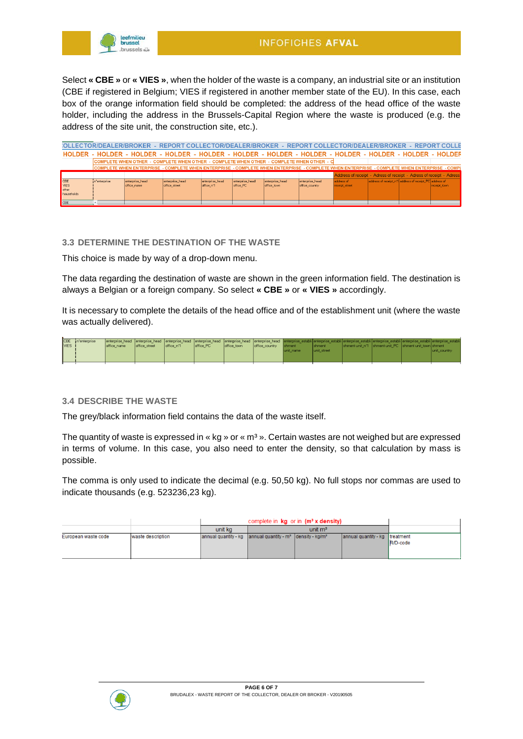

Select **« CBE »** or **« VIES »**, when the holder of the waste is a company, an industrial site or an institution (CBE if registered in Belgium; VIES if registered in another member state of the EU). In this case, each box of the orange information field should be completed: the address of the head office of the waste holder, including the address in the Brussels-Capital Region where the waste is produced (e.g. the address of the site unit, the construction site, etc.).

|                                    |               | :OLLECTOR/DEALER/BROKER - REPORT COLLECTOR/DEALER/BROKER - REPORT COLLECTOR/DEALER/BROKER - REPORT COLLE                                     |                                  |                               |                              |                                |                                   |                                                                     |                                                          |              |
|------------------------------------|---------------|----------------------------------------------------------------------------------------------------------------------------------------------|----------------------------------|-------------------------------|------------------------------|--------------------------------|-----------------------------------|---------------------------------------------------------------------|----------------------------------------------------------|--------------|
|                                    |               | HOLDER - HOLDER - HOLDER - HOLDER - HOLDER - HOLDER - HOLDER - HOLDER - HOLDER - HOLDER - HOLDER - HOLDEF                                    |                                  |                               |                              |                                |                                   |                                                                     |                                                          |              |
|                                    |               | COMPLETE WHEN OTHER - COMPLETE WHEN OTHER - COMPLETE WHEN OTHER - COMPLETE WHEN OTHER - C                                                    |                                  |                               |                              |                                |                                   |                                                                     |                                                          |              |
|                                    |               | COMPLETE WHEN ENTERPRISE - COMPLETE WHEN ENTERPRISE - COMPLETE WHEN ENTERPRISE - COMPLETE WHEN ENTERPRISE - COMPLETE WHEN ENTERPRISE - COMPL |                                  |                               |                              |                                |                                   |                                                                     |                                                          |              |
|                                    |               |                                                                                                                                              |                                  |                               |                              |                                |                                   | Address of receipt - Adress of receipt - Adress of receipt - Adress |                                                          |              |
| CBE<br>VIES<br>other<br>households | in'enterprise | enterprise head<br>office name                                                                                                               | enterprise head<br>office street | enterprise head<br>office n'1 | enterprise_head<br>office PC | enterprise head<br>office town | enterprise head<br>office country | address of<br>receipt street                                        | address of receipt in 1 address of receipt PC address of | receipt town |
| CBE                                |               |                                                                                                                                              |                                  |                               |                              |                                |                                   |                                                                     |                                                          |              |

#### <span id="page-5-0"></span>**3.3 DETERMINE THE DESTINATION OF THE WASTE**

This choice is made by way of a drop-down menu.

The data regarding the destination of waste are shown in the green information field. The destination is always a Belgian or a foreign company. So select **« CBE »** or **« VIES »** accordingly.

It is necessary to complete the details of the head office and of the establishment unit (where the waste was actually delivered).

| VIES 1 | CBE in <sup>*</sup> enterprise | enterprise head enterprise head enterprise head enterprise head enterprise head enterprise head enterprise establi enterprise establi enterprise establi enterprise establi enterprise establi enterprise establi enterprise e<br>office name | office street | loffice n'1 | office PC | office town | office country Ishment | lunit name | <b>Ishment</b><br>lunit street | shment unit n'1 shment unit PC shment unit town shment | lunit country |
|--------|--------------------------------|-----------------------------------------------------------------------------------------------------------------------------------------------------------------------------------------------------------------------------------------------|---------------|-------------|-----------|-------------|------------------------|------------|--------------------------------|--------------------------------------------------------|---------------|
|        |                                |                                                                                                                                                                                                                                               |               |             |           |             |                        |            |                                |                                                        |               |

#### <span id="page-5-1"></span>**3.4 DESCRIBE THE WASTE**

The grey/black information field contains the data of the waste itself.

The quantity of waste is expressed in  $\alpha$  kg  $\alpha$  or  $\alpha$  m<sup>3</sup>  $\alpha$ . Certain wastes are not weighed but are expressed in terms of volume. In this case, you also need to enter the density, so that calculation by mass is possible.

The comma is only used to indicate the decimal (e.g. 50,50 kg). No full stops nor commas are used to indicate thousands (e.g. 523236,23 kg).

|                     |                   |                                                                          | complete in $kg$ or in $(m^3 x$ density) |                                |          |
|---------------------|-------------------|--------------------------------------------------------------------------|------------------------------------------|--------------------------------|----------|
|                     |                   | unit ka                                                                  | unit $m3$                                |                                |          |
| European waste code | waste description | annual quantity - kg annual quantity - $m^2$ density - kg/m <sup>2</sup> |                                          | annual quantity - kg treatment | R/D-code |